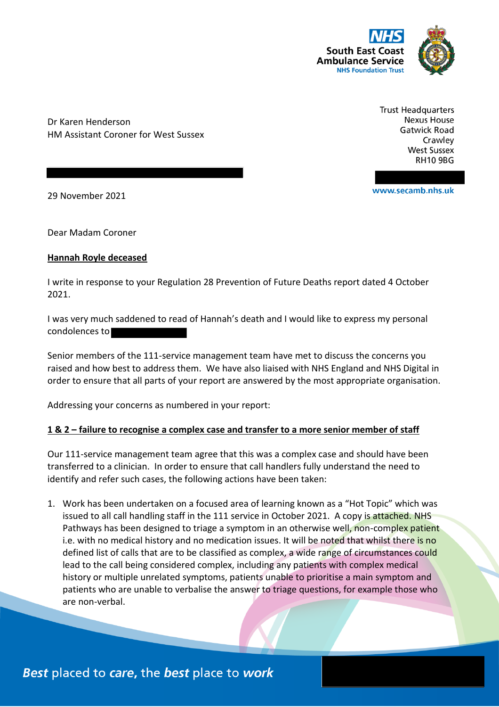

Dr Karen Henderson HM Assistant Coroner for West Sussex **Trust Headquarters Nexus House Gatwick Road** Crawley **West Sussex RH10 9BG** 

www.secamb.nhs.uk

29 November 2021

Dear Madam Coroner

### **Hannah Royle deceased**

I write in response to your Regulation 28 Prevention of Future Deaths report dated 4 October 2021.

I was very much saddened to read of Hannah's death and I would like to express my personal condolences to

Senior members of the 111-service management team have met to discuss the concerns you raised and how best to address them. We have also liaised with NHS England and NHS Digital in order to ensure that all parts of your report are answered by the most appropriate organisation.

Addressing your concerns as numbered in your report:

### **1 & 2 – failure to recognise a complex case and transfer to a more senior member of staff**

Our 111-service management team agree that this was a complex case and should have been transferred to a clinician. In order to ensure that call handlers fully understand the need to identify and refer such cases, the following actions have been taken:

1. Work has been undertaken on a focused area of learning known as a "Hot Topic" which was issued to all call handling staff in the 111 service in October 2021. A copy is attached. NHS Pathways has been designed to triage a symptom in an otherwise well, non-complex patient i.e. with no medical history and no medication issues. It will be noted that whilst there is no defined list of calls that are to be classified as complex, a wide range of circumstances could lead to the call being considered complex, including any patients with complex medical history or multiple unrelated symptoms, patients unable to prioritise a main symptom and patients who are unable to verbalise the answer to triage questions, for example those who are non-verbal.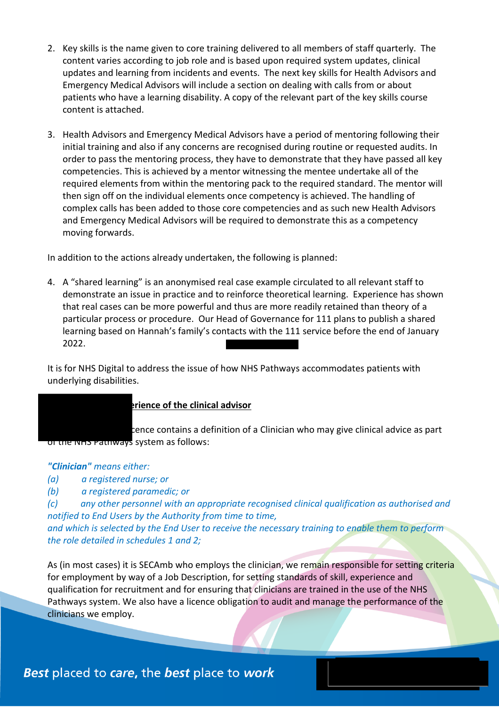- 2. Key skills is the name given to core training delivered to all members of staff quarterly. The content varies according to job role and is based upon required system updates, clinical updates and learning from incidents and events. The next key skills for Health Advisors and Emergency Medical Advisors will include a section on dealing with calls from or about patients who have a learning disability. A copy of the relevant part of the key skills course content is attached.
- 3. Health Advisors and Emergency Medical Advisors have a period of mentoring following their initial training and also if any concerns are recognised during routine or requested audits. In order to pass the mentoring process, they have to demonstrate that they have passed all key competencies. This is achieved by a mentor witnessing the mentee undertake all of the required elements from within the mentoring pack to the required standard. The mentor will then sign off on the individual elements once competency is achieved. The handling of complex calls has been added to those core competencies and as such new Health Advisors and Emergency Medical Advisors will be required to demonstrate this as a competency moving forwards.

In addition to the actions already undertaken, the following is planned:

4. A "shared learning" is an anonymised real case example circulated to all relevant staff to demonstrate an issue in practice and to reinforce theoretical learning. Experience has shown that real cases can be more powerful and thus are more readily retained than theory of a particular process or procedure. Our Head of Governance for 111 plans to publish a shared learning based on Hannah's family's contacts with the 111 service before the end of January 2022.

It is for NHS Digital to address the issue of how NHS Pathways accommodates patients with underlying disabilities.

# **3 - The skill and experience of the clinical advisor** cence contains a definition of a Clinician who may give clinical advice as part of the NHS Pathways system as follows:

## *"Clinician" means either:*

- *(a) a registered nurse; or*
- *(b) a registered paramedic; or*

*(c) any other personnel with an appropriate recognised clinical qualification as authorised and notified to End Users by the Authority from time to time,* 

*and which is selected by the End User to receive the necessary training to enable them to perform the role detailed in schedules 1 and 2;*

As (in most cases) it is SECAmb who employs the clinician, we remain responsible for setting criteria for employment by way of a Job Description, for setting standards of skill, experience and qualification for recruitment and for ensuring that clinicians are trained in the use of the NHS Pathways system. We also have a licence obligation to audit and manage the performance of the clinicians we employ.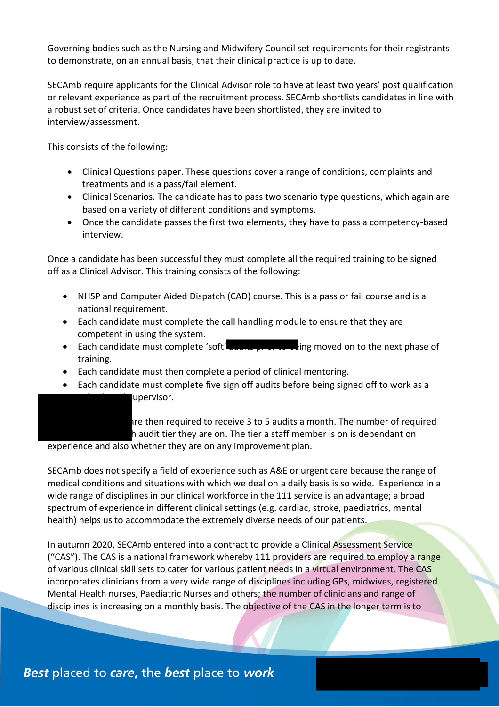Governing bodies such as the Nursing and Midwifery Council set requirements for their registrants to demonstrate, on an annual basis, that their clinical practice is up to date.

SECAmb require applicants for the Clinical Advisor role to have at least two years' post qualification or relevant experience as part of the recruitment process. SECAmb shortlists candidates in line with a robust set of criteria. Once candidates have been shortlisted, they are invited to interview/assessment.

This consists of the following:

- Clinical Questions paper. These questions cover a range of conditions, complaints and treatments and is a pass/fail element.
- Clinical Scenarios. The candidate has to pass two scenario type questions, which again are based on a variety of different conditions and symptoms.
- Once the candidate passes the first two elements, they have to pass a competency-based interview.

Once a candidate has been successful they must complete all the required training to be signed off as a Clinical Advisor. This training consists of the following:

- NHSP and Computer Aided Dispatch (CAD) course. This is a pass or fail course and is a national requirement.
- Each candidate must complete the call handling module to ensure that they are competent in using the system.
- Each candidate must complete 'soft' **alger prior to be**ing moved on to the next phase of training.
- Each candidate must then complete a period of clinical mentoring.
- Each candidate must complete five sign off audits before being signed off to work as a upervisor.

are then required to receive 3 to 5 audits a month. The number of required h audit tier they are on. The tier a staff member is on is dependant on

experience and also whether they are on any improvement plan.

SECAmb does not specify a field of experience such as A&E or urgent care because the range of medical conditions and situations with which we deal on a daily basis is so wide. Experience in a wide range of disciplines in our clinical workforce in the 111 service is an advantage; a broad spectrum of experience in different clinical settings (e.g. cardiac, stroke, paediatrics, mental health) helps us to accommodate the extremely diverse needs of our patients.

In autumn 2020, SECAmb entered into a contract to provide a Clinical Assessment Service ("CAS"). The CAS is a national framework whereby 111 providers are required to employ a range of various clinical skill sets to cater for various patient needs in a virtual environment. The CAS incorporates clinicians from a very wide range of disciplines including GPs, midwives, registered Mental Health nurses, Paediatric Nurses and others; the number of clinicians and range of disciplines is increasing on a monthly basis. The objective of the CAS in the longer term is to